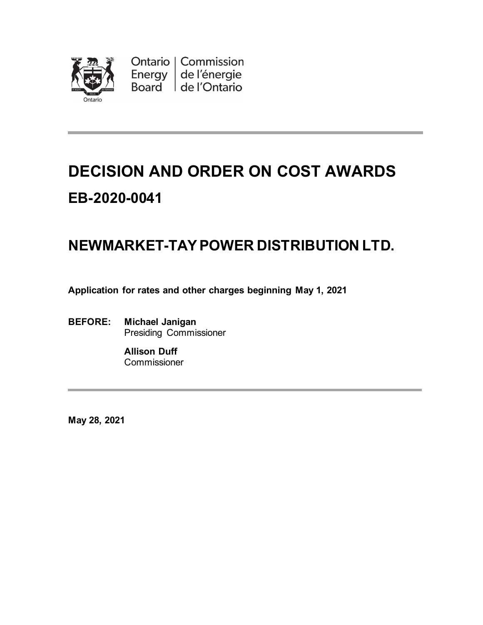

Ontario | Commission Energy de l'énergie Board de l'Ontario

# **DECISION AND ORDER ON COST AWARDS EB-2020-0041**

## **NEWMARKET-TAYPOWER DISTRIBUTION LTD.**

**Application for rates and other charges beginning May 1, 2021**

**BEFORE: Michael Janigan** Presiding Commissioner

> **Allison Duff Commissioner**

**May 28, 2021**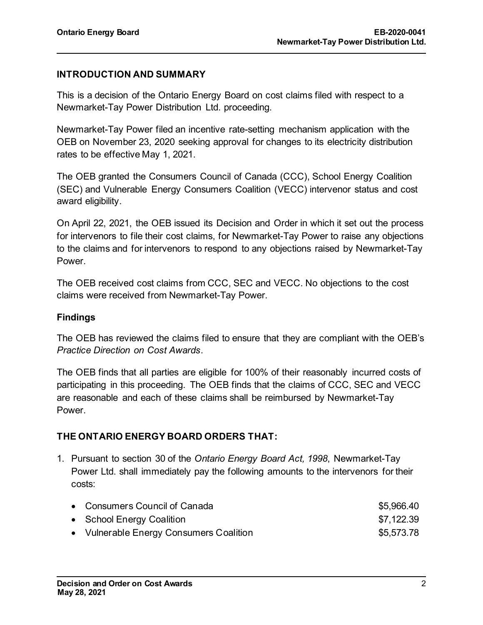#### **INTRODUCTION AND SUMMARY**

This is a decision of the Ontario Energy Board on cost claims filed with respect to a Newmarket-Tay Power Distribution Ltd. proceeding.

Newmarket-Tay Power filed an incentive rate-setting mechanism application with the OEB on November 23, 2020 seeking approval for changes to its electricity distribution rates to be effective May 1, 2021.

The OEB granted the Consumers Council of Canada (CCC), School Energy Coalition (SEC) and Vulnerable Energy Consumers Coalition (VECC) intervenor status and cost award eligibility.

On April 22, 2021, the OEB issued its Decision and Order in which it set out the process for intervenors to file their cost claims, for Newmarket-Tay Power to raise any objections to the claims and for intervenors to respond to any objections raised by Newmarket-Tay Power.

The OEB received cost claims from CCC, SEC and VECC. No objections to the cost claims were received from Newmarket-Tay Power.

#### **Findings**

The OEB has reviewed the claims filed to ensure that they are compliant with the OEB's *Practice Direction on Cost Awards*.

The OEB finds that all parties are eligible for 100% of their reasonably incurred costs of participating in this proceeding. The OEB finds that the claims of CCC, SEC and VECC are reasonable and each of these claims shall be reimbursed by Newmarket-Tay Power.

#### **THE ONTARIO ENERGY BOARD ORDERS THAT:**

1. Pursuant to section 30 of the *Ontario Energy Board Act, 1998*, Newmarket-Tay Power Ltd. shall immediately pay the following amounts to the intervenors for their costs:

| • Consumers Council of Canada           | \$5,966.40 |
|-----------------------------------------|------------|
| • School Energy Coalition               | \$7,122.39 |
| • Vulnerable Energy Consumers Coalition | \$5,573.78 |